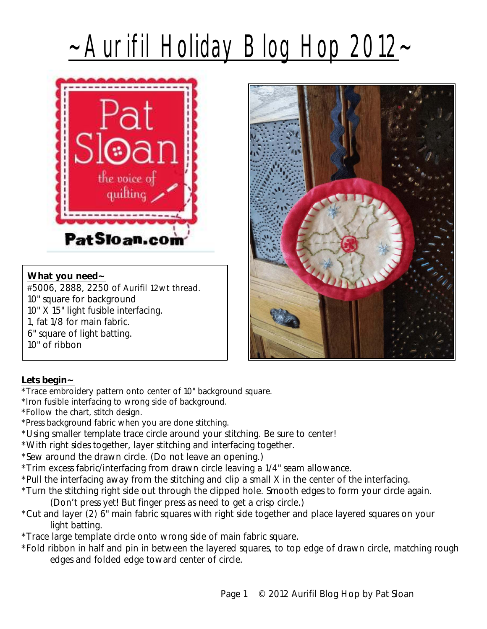## ~Aurifil Holiday Blog Hop 2012~



## **What you need~**

#5006, 2888, 2250 of Aurifil 12wt thread. 10" square for background 10" X 15" light fusible interfacing. 1, fat 1/8 for main fabric. 6" square of light batting. 10" of ribbon

## **Lets begin~**

- \*Trace embroidery pattern onto center of 10" background square.
- \*Iron fusible interfacing to wrong side of background.
- \*Follow the chart, stitch design.
- \*Press background fabric when you are done stitching.
- \*Using smaller template trace circle around your stitching. Be sure to center!
- \*With right sides together, layer stitching and interfacing together.
- \*Sew around the drawn circle. (Do not leave an opening.)
- \*Trim excess fabric/interfacing from drawn circle leaving a 1/4" seam allowance.
- \*Pull the interfacing away from the stitching and clip a small X in the center of the interfacing.
- \*Turn the stitching right side out through the clipped hole. Smooth edges to form your circle again.
	- (Don't press yet! But finger press as need to get a crisp circle.)
- \*Cut and layer (2) 6" main fabric squares with right side together and place layered squares on your light batting.
- \*Trace large template circle onto wrong side of main fabric square.
- \*Fold ribbon in half and pin in between the layered squares, to top edge of drawn circle, matching rough edges and folded edge toward center of circle.